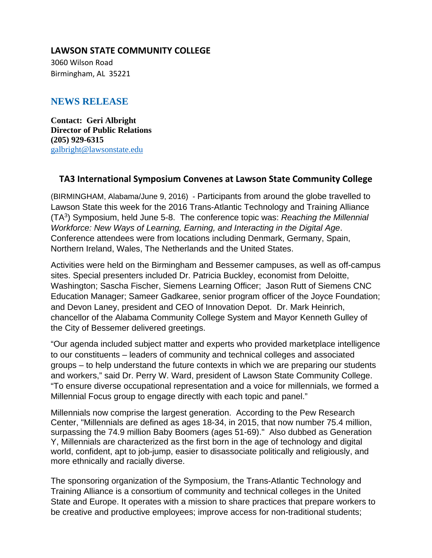## **LAWSON STATE COMMUNITY COLLEGE**

3060 Wilson Road Birmingham, AL 35221

# **NEWS RELEASE**

**Contact: Geri Albright Director of Public Relations (205) 929-6315** galbright@lawsonstate.edu

# **TA3 International Symposium Convenes at Lawson State Community College**

(BIRMINGHAM, Alabama/June 9, 2016) - Participants from around the globe travelled to Lawson State this week for the 2016 Trans-Atlantic Technology and Training Alliance (TA3) Symposium, held June 5-8. The conference topic was: *Reaching the Millennial Workforce: New Ways of Learning, Earning, and Interacting in the Digital Age*. Conference attendees were from locations including Denmark, Germany, Spain, Northern Ireland, Wales, The Netherlands and the United States.

Activities were held on the Birmingham and Bessemer campuses, as well as off-campus sites. Special presenters included Dr. Patricia Buckley, economist from Deloitte, Washington; Sascha Fischer, Siemens Learning Officer; Jason Rutt of Siemens CNC Education Manager; Sameer Gadkaree, senior program officer of the Joyce Foundation; and Devon Laney, president and CEO of Innovation Depot. Dr. Mark Heinrich, chancellor of the Alabama Community College System and Mayor Kenneth Gulley of the City of Bessemer delivered greetings.

"Our agenda included subject matter and experts who provided marketplace intelligence to our constituents – leaders of community and technical colleges and associated groups – to help understand the future contexts in which we are preparing our students and workers," said Dr. Perry W. Ward, president of Lawson State Community College. "To ensure diverse occupational representation and a voice for millennials, we formed a Millennial Focus group to engage directly with each topic and panel."

Millennials now comprise the largest generation. According to the Pew Research Center, "Millennials are defined as ages 18-34, in 2015, that now number 75.4 million, surpassing the 74.9 million Baby Boomers (ages 51-69)." Also dubbed as Generation Y, Millennials are characterized as the first born in the age of technology and digital world, confident, apt to job-jump, easier to disassociate politically and religiously, and more ethnically and racially diverse.

The sponsoring organization of the Symposium, the Trans-Atlantic Technology and Training Alliance is a consortium of community and technical colleges in the United State and Europe. It operates with a mission to share practices that prepare workers to be creative and productive employees; improve access for non-traditional students;